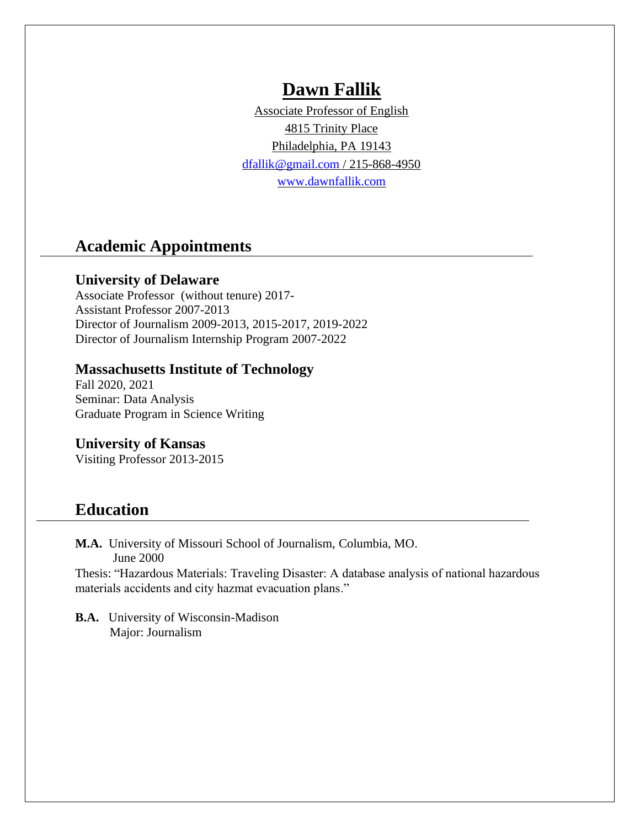# **Dawn Fallik**

Associate Professor of English 4815 Trinity Place Philadelphia, PA 19143 [dfallik@gmail.com](mailto:dfallik@gmail.com) / 215-868-4950 [www.dawnfallik.com](http://www.dawnfallik.com/)

# **Academic Appointments**

### **University of Delaware**

Associate Professor (without tenure) 2017- Assistant Professor 2007-2013 Director of Journalism 2009-2013, 2015-2017, 2019-2022 Director of Journalism Internship Program 2007-2022

### **Massachusetts Institute of Technology**

Fall 2020, 2021 Seminar: Data Analysis Graduate Program in Science Writing

### **University of Kansas**

Visiting Professor 2013-2015

# **Education**

**M.A.** University of Missouri School of Journalism, Columbia, MO. June 2000

Thesis: "Hazardous Materials: Traveling Disaster: A database analysis of national hazardous materials accidents and city hazmat evacuation plans."

**B.A.** University of Wisconsin-Madison Major: Journalism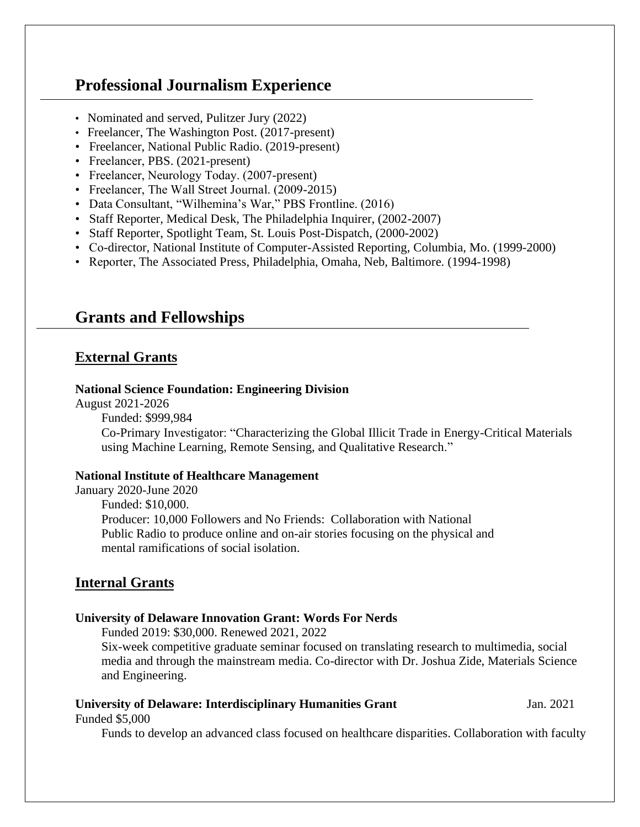# **Professional Journalism Experience**

- Nominated and served, Pulitzer Jury (2022)
- Freelancer, The Washington Post. (2017-present)
- Freelancer, National Public Radio. (2019-present)
- Freelancer, PBS. (2021-present)
- Freelancer, Neurology Today. (2007-present)
- Freelancer, The Wall Street Journal. (2009-2015)
- Data Consultant, "Wilhemina's War," PBS Frontline. (2016)
- Staff Reporter, Medical Desk, The Philadelphia Inquirer, (2002-2007)
- Staff Reporter, Spotlight Team, St. Louis Post-Dispatch, (2000-2002)
- Co-director, National Institute of Computer-Assisted Reporting, Columbia, Mo. (1999-2000)
- Reporter, The Associated Press, Philadelphia, Omaha, Neb, Baltimore. (1994-1998)

# **Grants and Fellowships**

### **External Grants**

#### **National Science Foundation: Engineering Division**

August 2021-2026

Funded: \$999,984

Co-Primary Investigator: "Characterizing the Global Illicit Trade in Energy-Critical Materials using Machine Learning, Remote Sensing, and Qualitative Research."

#### **National Institute of Healthcare Management**

January 2020-June 2020 Funded: \$10,000. Producer: 10,000 Followers and No Friends: Collaboration with National Public Radio to produce online and on-air stories focusing on the physical and mental ramifications of social isolation.

### **Internal Grants**

#### **University of Delaware Innovation Grant: Words For Nerds**

Funded 2019: \$30,000. Renewed 2021, 2022

Six-week competitive graduate seminar focused on translating research to multimedia, social media and through the mainstream media. Co-director with Dr. Joshua Zide, Materials Science and Engineering.

#### **University of Delaware: Interdisciplinary Humanities Grant** Jan. 2021

Funded \$5,000

Funds to develop an advanced class focused on healthcare disparities. Collaboration with faculty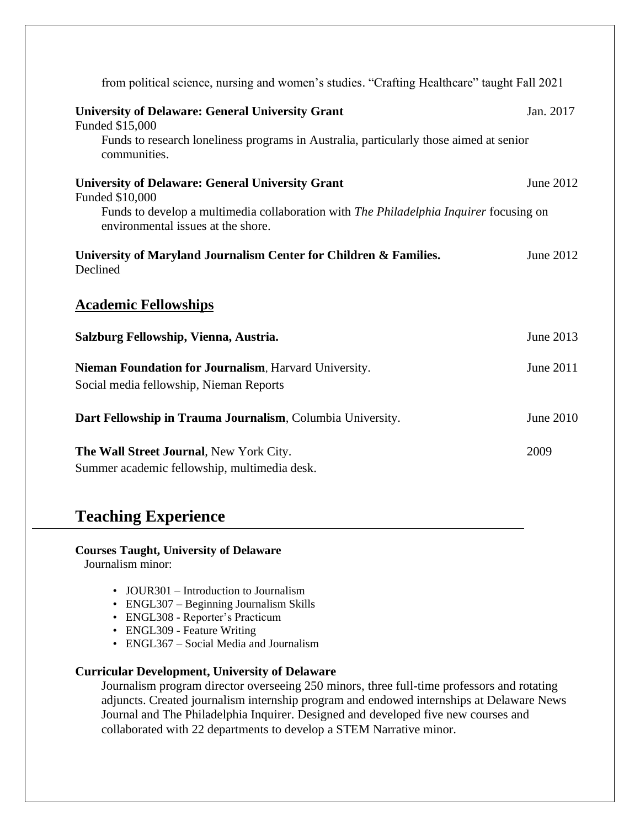| from political science, nursing and women's studies. "Crafting Healthcare" taught Fall 2021                                         |           |
|-------------------------------------------------------------------------------------------------------------------------------------|-----------|
| <b>University of Delaware: General University Grant</b><br>Funded \$15,000                                                          | Jan. 2017 |
| Funds to research loneliness programs in Australia, particularly those aimed at senior<br>communities.                              |           |
| <b>University of Delaware: General University Grant</b><br>Funded \$10,000                                                          | June 2012 |
| Funds to develop a multimedia collaboration with <i>The Philadelphia Inquirer</i> focusing on<br>environmental issues at the shore. |           |
| University of Maryland Journalism Center for Children & Families.<br>Declined                                                       | June 2012 |
| <b>Academic Fellowships</b>                                                                                                         |           |
| Salzburg Fellowship, Vienna, Austria.                                                                                               | June 2013 |
| Nieman Foundation for Journalism, Harvard University.<br>Social media fellowship, Nieman Reports                                    | June 2011 |
| Dart Fellowship in Trauma Journalism, Columbia University.                                                                          | June 2010 |
| The Wall Street Journal, New York City.<br>Summer academic fellowship, multimedia desk.                                             | 2009      |

# **Teaching Experience**

**Courses Taught, University of Delaware**

Journalism minor:

- JOUR301 Introduction to Journalism
- ENGL307 Beginning Journalism Skills
- ENGL308 Reporter's Practicum
- ENGL309 Feature Writing
- ENGL367 Social Media and Journalism

### **Curricular Development, University of Delaware**

Journalism program director overseeing 250 minors, three full-time professors and rotating adjuncts. Created journalism internship program and endowed internships at Delaware News Journal and The Philadelphia Inquirer. Designed and developed five new courses and collaborated with 22 departments to develop a STEM Narrative minor.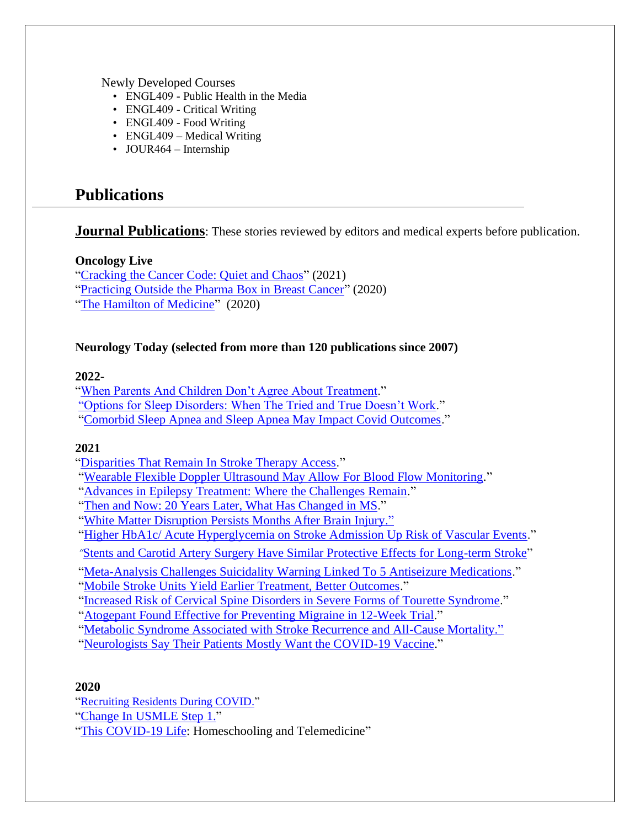Newly Developed Courses

- ENGL409 Public Health in the Media
- ENGL409 Critical Writing
- ENGL409 Food Writing
- ENGL409 Medical Writing
- JOUR464 Internship

# **Publications**

### **Journal Publications**: These stories reviewed by editors and medical experts before publication.

### **Oncology Live**

["Cracking the Cancer Code: Quiet and Chaos"](https://www.onclive.com/view/cracking-the-cancer-code-requires-both-quiet-and-chaos) (2021) ["Practicing Outside the Pharma Box in Breast Cancer"](https://www.onclive.com/view/practicing-outside-the-pharma-box-in-breast-cancer) (2020)

["The Hamilton of Medicine"](https://www.onclive.com/view/the-hamilton-of-medicine) (2020)

### **Neurology Today (selected from more than 120 publications since 2007)**

### **2022-**

["When Parents And Children Don't Agree About Treatment.](https://journals.lww.com/neurotodayonline/Fulltext/2022/05190/What_to_Do_When_Children_and_Parents_Don_t_Agree.3.aspx)" ["Options for Sleep Disorders: When The Tried and True Doesn't Work.](https://journals.lww.com/neurotodayonline/Fulltext/2022/05050/More_Options_Are_Available_for_Managing_Sleep.9.aspx)" ["Comorbid Sleep Apnea and Sleep Apnea May Impact Covid Outcomes.](https://www.deepdyve.com/lp/wolters-kluwer-health/comorbid-sleep-apnea-and-sleep-related-hypoxia-may-impact-covid-19-h2YWEjR0gw)"

### **2021**

["Disparities That Remain In Stroke Therapy Access.](https://journals.lww.com/neurotodayonline/Fulltext/2021/11180/The_Disparities_That_Remain_in_Access_to_Therapies.3.aspx)"

- ["Wearable Flexible Doppler Ultrasound May Allow For Blood Flow Monitoring.](https://journals.lww.com/neurotodayonline/blog/breakingnews/pages/post.aspx?PostID=1159)"
- ["Advances in Epilepsy Treatment: Where the Challenges Remain.](https://journals.lww.com/neurotodayonline/Fulltext/2021/09020/Then_and_Now__20_Years_Later,_Advances_in_Epilepsy.2.aspx)"
- ["Then and Now: 20 Years Later, What Has Changed in MS.](https://journals.lww.com/neurotodayonline/fulltext/2021/08190/then_and_now__20_years_later,_what_has_changed_in.2.aspx)"
- ["White Matter Disruption Persists Months After Brain Injury."](https://journals.lww.com/neurotodayonline/blog/breakingnews/pages/post.aspx?PostID=1141)

["Higher HbA1c/ Acute Hyperglycemia on Stroke Admission Up Risk of Vascular Events.](https://journals.lww.com/neurotodayonline/blog/breakingnews/pages/post.aspx?PostID=1156)"

- *"*[Stents and Carotid Artery Surgery Have Similar Protective Effects for Long-term Stroke"](https://journals.lww.com/neurotodayonline/blog/breakingnews/pages/post.aspx?PostID=1155)
- ["Meta-Analysis Challenges Suicidality Warning Linked To 5 Antiseizure Medications.](https://journals.lww.com/neurotodayonline/blog/breakingnews/pages/post.aspx?PostID=1148)"
- ["Mobile Stroke Units Yield Earlier Treatment, Better Outcomes.](https://journals.lww.com/neurotodayonline/blog/breakingnews/pages/post.aspx?PostID=1147)"
- ["Increased Risk of Cervical Spine Disorders in Severe Forms of Tourette Syndrome.](https://journals.lww.com/neurotodayonline/blog/breakingnews/pages/post.aspx?PostID=1155)"
- ["Atogepant Found Effective for Preventing Migraine in 12-Week Trial.](https://journals.lww.com/neurotodayonline/blog/breakingnews/pages/post.aspx?PostID=1150)"
- ["Metabolic Syndrome Associated with Stroke Recurrence and All-Cause Mortality."](https://journals.lww.com/neurotodayonline/blog/breakingnews/pages/post.aspx?PostID=1142)
- ["Neurologists Say Their Patients Mostly Want the COVID-19 Vaccine.](https://journals.lww.com/neurotodayonline/fulltext/2021/03040/neurologists_say_their_patients_mostly_want_the.4.aspx)"

### **2020**

- "[Recruiting Residents During COVID.](https://journals.lww.com/neurotodayonline/fulltext/2020/07090/recruiting_residents_during_covid_19.10.aspx)"
- ["Change In USMLE Step 1.](https://journals.lww.com/neurotodayonline/Fulltext/2020/04020/The_USMLE_Step_1_Is_Pass_Fail___How_Does_that.6.aspx?WT.mc_id=HPxADx20100319xMP)"
- ["This COVID-19 Life:](https://journals.lww.com/neurotodayonline/blog/breakingnews/pages/post.aspx?PostID=961) Homeschooling and Telemedicine"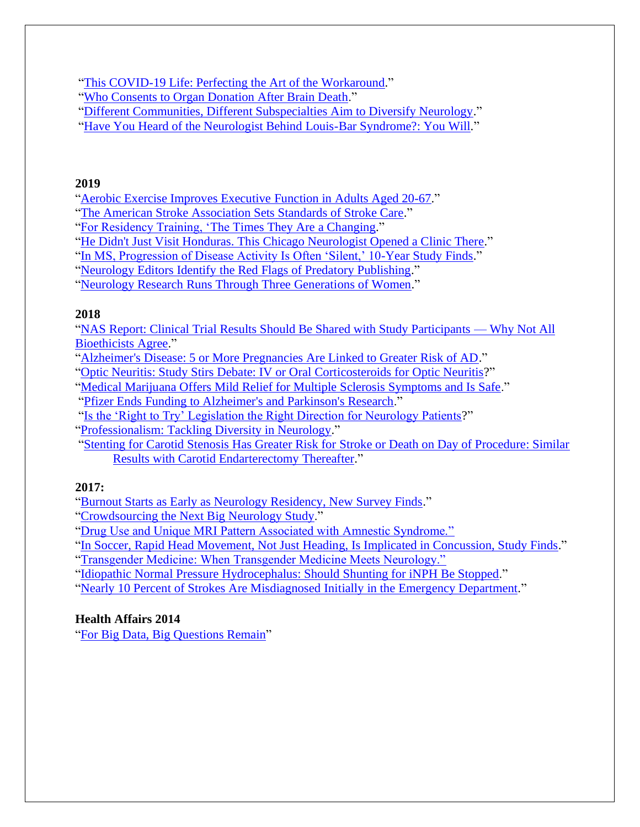["This COVID-19 Life: Perfecting the Art of the Workaround.](https://journals.lww.com/neurotodayonline/fulltext/2020/06040/this_covid_19_life__how_these_neurologists_achieve.9.aspx)"

["Who Consents to Organ Donation After Brain Death.](https://journals.lww.com/neurotodayonline/fulltext/2020/09030/who_consents_to_organ_donation_after_brain_death__.5.aspx)"

- ["Different Communities, Different Subspecialties Aim to Diversify Neurology.](https://journals.lww.com/neurotodayonline/fulltext/2020/11050/different_communities,_different_subspecialties.7.aspx)"
- ["Have You Heard of the Neurologist Behind Louis-Bar Syndrome?: You Will.](https://journals.lww.com/neurotodayonline/fulltext/2020/03190/have_you_heard_of_the_neurologist_behind_louis_bar.7.aspx)"

### **2019**

["Aerobic Exercise Improves Executive Function in Adults Aged 20-67.](https://journals.lww.com/neurotodayonline/fulltext/2019/02070/aerobic_exercise_improves_executive_function_in.5.aspx)"

["The American Stroke Association Sets Standards of Stroke Care.](https://journals.lww.com/neurotodayonline/Fulltext/2019/07250/The_American_Stroke_Association_Sets_Standards_of.7.aspx)"

["For Residency Training, 'The Times They Are a Changing.](https://journals.lww.com/neurotodayonline/Fulltext/2019/02210/For_Residency_Training,__The_Times_They_Are_a.8.aspx)"

["He Didn't Just Visit Honduras. This Chicago Neurologist Opened a Clinic There.](https://journals.lww.com/neurotodayonline/Fulltext/2019/01100/He_Didn_t_Just_Visit_Honduras__This_Chicago.10.aspx)"

["In MS, Progression of Disease Activity Is Often 'Silent,' 10-Year Study Finds.](https://journals.lww.com/neurotodayonline/Fulltext/2019/04180/In_MS,_Progression_of_Disease_Activity_Is_Often.2.aspx)"

["Neurology Editors Identify the Red Flags of Predatory Publishing.](https://journals.lww.com/neurotodayonline/Fulltext/2019/10030/Neurology_Editors_Identify_the_Red_Flags_of.14.aspx)"

["Neurology Research Runs Through Three Generations of Women.](https://journals.lww.com/neurotodayonline/Fulltext/2019/12190/Neurology_Research_Runs_Through_Three_Generations.11.aspx)"

### **2018**

["NAS Report: Clinical Trial Results Should Be Shared with Study Participants —](https://journals.lww.com/neurotodayonline/Fulltext/2018/09060/Ask_the_Ethicist__NAS_Report__Clinical_Trial.12.aspx) Why Not All [Bioethicists Agree.](https://journals.lww.com/neurotodayonline/Fulltext/2018/09060/Ask_the_Ethicist__NAS_Report__Clinical_Trial.12.aspx)"

["Alzheimer's Disease: 5 or More Pregnancies Are Linked to Greater Risk of AD.](https://journals.lww.com/neurotodayonline/Fulltext/2018/08160/For_Your_Patients_Alzheimer_s_Disease__5_or_More.6.aspx)"

["Optic Neuritis: Study Stirs Debate: IV or Oral Corticosteroids for Optic Neuritis?](https://journals.lww.com/neurotodayonline/Fulltext/2018/04190/In_the_Clinic_Optic_Neuritis__Study_Stirs_Debate_.9.aspx)"

["Medical Marijuana Offers Mild Relief for Multiple Sclerosis Symptoms and Is Safe.](https://journals.lww.com/neurotodayonline/Fulltext/2018/12060/Meta_Analysis__Medical_Marijuana_Offers_Mild.4.aspx)"

["Pfizer Ends Funding to Alzheimer's and Parkinson's Research.](https://journals.lww.com/neurotodayonline/Fulltext/2018/02220/Pfizer_Ends_Funding_to_Alzheimer_s_and_Parkinson_s.1.aspx)"

["Is the 'Right to Try' Legislation the Right Direction for Neurology Patients?](https://journals.lww.com/neurotodayonline/Fulltext/2018/07190/Policy_Watch__Is_the__Right_to_Try__Legislation.2.aspx)"

["Professionalism: Tackling Diversity in Neurology.](https://journals.lww.com/neurotodayonline/Fulltext/2018/01110/Professionalism__Tackling_Diversity_in_Neurology.11.aspx)"

["Stenting for Carotid Stenosis Has Greater Risk for Stroke or Death on Day of Procedure: Similar](https://journals.lww.com/neurotodayonline/Fulltext/2018/11150/Stenting_for_Carotid_Stenosis_Has_Greater_Risk_for.6.aspx)  [Results with Carotid Endarterectomy Thereafter.](https://journals.lww.com/neurotodayonline/Fulltext/2018/11150/Stenting_for_Carotid_Stenosis_Has_Greater_Risk_for.6.aspx)"

### **2017:**

["Burnout Starts as Early as Neurology Residency, New Survey Finds.](https://journals.lww.com/neurotodayonline/Fulltext/2017/07200/Burnout_Starts_as_Early_as_Neurology_Residency,.1.aspx)"

["Crowdsourcing the Next Big Neurology Study.](https://journals.lww.com/neurotodayonline/Fulltext/2017/08170/Crowdsourcing_the_Next_Big_Neurology_Study___Novel.6.aspx)"

["Drug Use and Unique MRI Pattern Associated with Amnestic Syndrome."](https://journals.lww.com/neurotodayonline/Fulltext/2017/03160/Drug_Use_and_Unique_MRI_Pattern_Associated_with.4.aspx)

"In Soccer, Rapid Head Movement, Not Just [Heading, Is Implicated in Concussion, Study Finds.](https://journals.lww.com/neurotodayonline/Fulltext/2017/02160/In_Soccer,_Rapid_Head_Movement,_Not_Just_Heading,.4.aspx)"

["Transgender Medicine: When Transgender Medicine Meets Neurology."](https://journals.lww.com/neurotodayonline/Fulltext/2017/10050/In_the_Clinic___Transgender_Medicine__When.8.aspx)

["Idiopathic Normal Pressure Hydrocephalus: Should Shunting for iNPH Be Stopped.](https://journals.lww.com/neurotodayonline/Fulltext/2017/11160/In_the_Clinic_Idiopathic_Normal_Pressure.8.aspx)"

["Nearly 10 Percent of Strokes Are Misdiagnosed](https://journals.lww.com/neurotodayonline/Fulltext/2017/04060/Nearly_10_Percent_of_Strokes_Are_Misdiagnosed__At.8.aspx) Initially in the Emergency Department."

### **Health Affairs 2014**

["For Big Data, Big Questions Remain"](https://www.healthaffairs.org/doi/full/10.1377/hlthaff.2014.0522)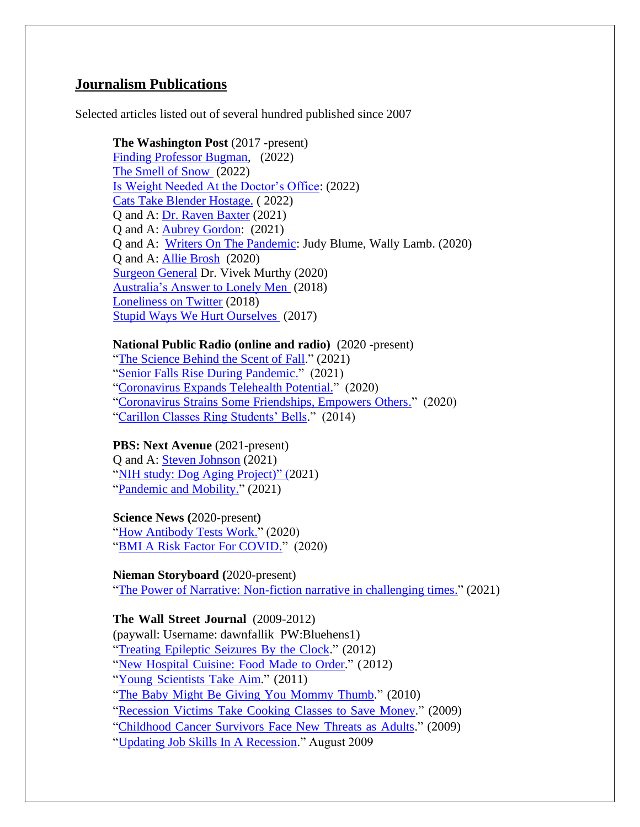### **Journalism Publications**

Selected articles listed out of several hundred published since 2007

#### **The Washington Post** (2017 -present)

[Finding Professor Bugman,](https://wapo.st/3abOnDL) (2022) [The Smell of Snow](https://wapo.st/3N7uPPA) (2022) [Is Weight Needed At the Doctor's Office:](https://www.washingtonpost.com/health/2022/02/20/weight-cards/) (2022) [Cats Take Blender Hostage.](https://wapo.st/3t4oo8c) ( 2022) Q and A: [Dr. Raven Baxter](https://www.washingtonpost.com/science/raven-the-science-maven/2021/09/24/e3415e9a-155c-11ec-9589-31ac3173c2e5_story.html) (2021) Q and A: [Aubrey Gordon:](/Users/fallik/Desktop/jobs/Aubrey%20Gordon,%20the%20writer%20behind%20‘Your%20Fat%20Friend,’%20has%20some%20thoughts%20on%20diets,%20BMI%20and%20the%20relentless%20advice%20of%20strangers) (2021) Q and A: [Writers On The Pandemic:](https://wapo.st/3t7dL4x) Judy Blume, Wally Lamb. (2020) Q and A: [Allie Brosh](https://www.washingtonpost.com/entertainment/books/solutions-and-other-problems-author-allie-brosh-talks-cats-depressions-and-the-joys-of-zoom-book-tours/2020/10/07/211f8616-040a-11eb-897d-3a6201d6643f_story.html) (2020) [Surgeon General](https://wapo.st/3t9vKqR) Dr. Vivek Murthy (2020) [Australia's Answer to Lonely Men](https://www.washingtonpost.com/national/health-science/what-to-do-about-lonely-older-men-put-them-to-work/2018/06/22/0c07efc8-53ab-11e8-a551-5b648abe29ef_story.html) (2018) [Loneliness on Twitter](https://www.washingtonpost.com/lifestyle/2018/12/24/im-usually-lonely-jew-christmas-last-year-i-found-community-twitter/) (2018) [Stupid Ways We Hurt Ourselves](https://www.washingtonpost.com/news/to-your-health/wp/2017/12/22/whats-the-most-embarrassing-way-youve-ever-injured-yourself/) (2017)

### **National Public Radio (online and radio)** (2020 -present)

["The Science Behind the Scent of Fall.](https://whyy.org/articles/why-do-we-love-the-way-autumn-smells-its-not-about-pumpkin-spice/)" (2021) ["Senior Falls Rise During Pandemic.](https://whyy.org/articles/getting-out-and-moving-helps-reduce-the-risk-of-falls-in-older-people-study-shows/)" (2021) ["Coronavirus Expands Telehealth Potential.](https://whyy.org/articles/coronavirus-offers-the-chance-to-explore-telehealths-wider-potential/)" (2020) ["Coronavirus Strains Some Friendships, Empowers Others.](https://whyy.org/articles/can-we-still-be-friends-coronavirus-means-working-at-formerly-easy-relationships/)" (2020) ["Carillon Classes Ring Students' Bells.](https://www.kcur.org/arts-life/2014-05-16/want-to-play-the-carillon-choices-are-slim-but-ku-is-one)" (2014)

### **PBS: Next Avenue** (2021-present)

Q and A: [Steven Johnson](/Users/fallik/Desktop/jobs/teven%20Johnson) (2021) ["NIH study: Dog Aging Project\)"](https://www.nextavenue.org/aging-study-dogs/) (2021) ["Pandemic and Mobility.](https://www.nextavenue.org/mobility-and-falls-pandemic/)" (2021)

#### **Science News (**2020-present**)**

["How Antibody Tests Work.](https://www.sciencenews.org/article/covid-19-coronavirus-pandemic-how-antibody-blood-tests-work)" (2020) ["BMI A Risk Factor For COVID.](https://www.sciencenews.org/article/coronavirus-covid19-obesity-risk-factor)" (2020)

#### **Nieman Storyboard (**2020-present)

["The Power of Narrative: Non-fiction narrative in challenging times.](https://niemanstoryboard.org/stories/the-power-of-narrative-non-fiction-narrative-in-challenging-times)" (2021)

#### **The Wall Street Journal** (2009-2012)

(paywall: Username: dawnfallik PW:Bluehens1) "Treating [Epileptic](https://www.wsj.com/articles/SB10001424052702303978104577361963045028278) Seizures By the Clock." (2012) "New [Hospital](https://www.wsj.com/articles/SB10001424052970204642604577213390021632180) Cuisine: Food Made to Order." (2012) "Young [Scientists](https://www.wsj.com/articles/SB10001424052970204397704577074522055705182) Take Aim." (2011) "The Baby Might Be Giving You [Mommy](https://www.wsj.com/articles/SB10001424052748703350104575653223648778294) Thumb." (2010) ["Recession](https://www.wsj.com/articles/SB10001424052970204313604574328333385659144) Victims Take Cooking Classes to Save Money." (2009) ["Childhood](https://www.wsj.com/articles/SB10001424052970204900904574308241898002848?st=mckdlpmc6ikryls&reflink=desktopwebshare_permalink) Cancer Survivors Face New Threats as Adults." (2009)

["Updating Job Skills In A Recession.](https://www.wsj.com/articles/SB10001424052970204044204574356663063985296)" August 2009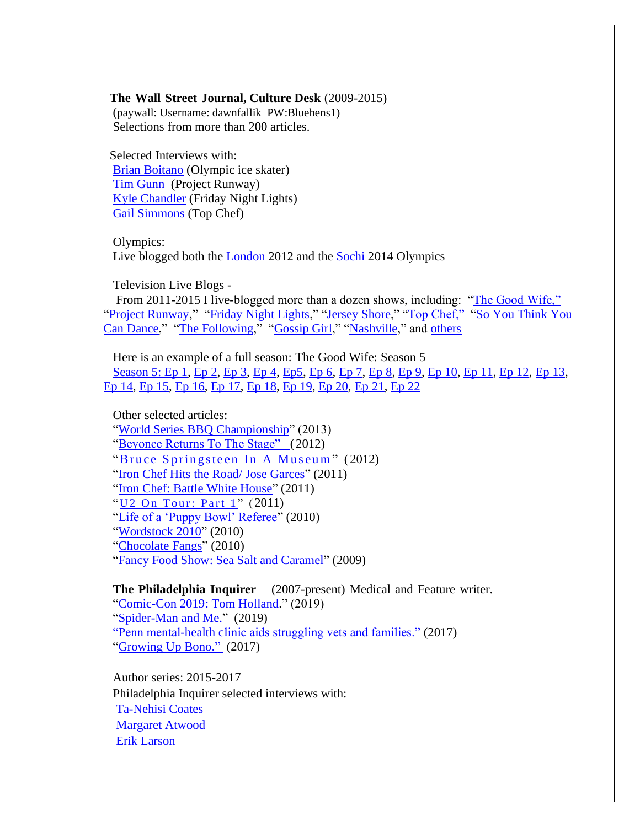#### **The Wall Street Journal, Culture Desk** (2009-2015)

 (paywall: Username: dawnfallik PW:Bluehens1) Selections from more than 200 articles.

 Selected Interviews with: [Brian Boitano](https://www.wsj.com/articles/BL-SEB-5762) (Olympic ice skater) [Tim Gunn](https://www.wsj.com/articles/BL-SEB-47641) (Project Runway) [Kyle Chandler](https://www.wsj.com/articles/BL-SEB-33980) (Friday Night Lights) [Gail Simmons](https://www.wsj.com/articles/BL-SEB-46700) (Top Chef)

Olympics: Live blogged both the **London** 2012 and the **Sochi** 2014 Olympics

Television Live Blogs -

 From 2011-2015 I live-blogged more than a dozen shows, including: ["The Good Wife,"](https://www.wsj.com/articles/BL-SEB-81322) ["Project Runway,](https://www.wsj.com/articles/BL-SEB-67685)" ["Friday Night Lights,](https://www.wsj.com/articles/BL-SEB-66186)" ["Jersey Shore,](https://www.wsj.com/articles/BL-SEB-66505)" ["Top Chef,"](https://www.wsj.com/articles/BL-SEB-64699) "So You Think You [Can Dance,](https://www.wsj.com/articles/BL-SEB-76890)" ["The Following,](https://www.wsj.com/articles/BL-SEB-73976)" ["Gossip Girl,](https://www.wsj.com/articles/BL-SEB-72914)" ["Nashville,](https://www.wsj.com/articles/BL-SEB-86968)" and [others](https://www.wsj.com/articles/BL-SEB-77037)

Here is an example of a full season: The Good Wife: Season 5 [Season 5: Ep 1,](https://www.wsj.com/articles/BL-SEB-77312) [Ep 2,](https://www.wsj.com/articles/BL-SEB-77468) [Ep 3,](https://www.wsj.com/articles/BL-SEB-77615) [Ep 4,](https://www.wsj.com/articles/BL-SEB-77765) [Ep5,](https://www.wsj.com/articles/BL-SEB-77889) [Ep 6,](https://www.wsj.com/articles/BL-SEB-78034) [Ep 7,](https://www.wsj.com/articles/BL-SEB-78170) [Ep 8,](https://www.wsj.com/articles/BL-SEB-78316) [Ep 9,](https://www.wsj.com/articles/BL-SEB-78452) [Ep 10,](https://www.wsj.com/articles/BL-SEB-78577) [Ep 11,](https://www.wsj.com/articles/BL-SEB-79060) [Ep 12,](https://www.wsj.com/articles/BL-SEB-79174) [Ep 13,](https://www.wsj.com/articles/BL-SEB-80227) [Ep 14,](https://www.wsj.com/articles/BL-SEB-80324) [Ep 15,](https://www.wsj.com/articles/BL-SEB-80427) [Ep 16,](https://www.wsj.com/articles/BL-SEB-80552) [Ep 17,](https://www.wsj.com/articles/BL-SEB-80739) [Ep 18,](https://www.wsj.com/articles/BL-SEB-80840) [Ep 19,](https://www.wsj.com/articles/BL-SEB-80961) [Ep 20,](https://www.wsj.com/articles/BL-SEB-81080) [Ep 21,](https://www.wsj.com/articles/BL-SEB-81197) [Ep 22](https://www.wsj.com/articles/BL-SEB-81322)

Other selected articles: ["World Series BBQ Championship"](https://www.wsj.com/articles/BL-SEB-77481) (2013) ["Beyonce Returns To The Stage"](https://www.wsj.com/articles/BL-SEB-70254) ( 2012) "Bruce Springsteen In A Museum" (2012) ["Iron Chef Hits the Road/ Jose Garces"](https://www.wsj.com/articles/BL-SEB-64322) (2011) ["Iron Chef: Battle White House"](https://www.wsj.com/articles/BL-SEB-18989) (2011) " U<sub>2</sub> On Tour: Part 1" (2011) ["Life of a 'Puppy Bowl' Referee"](https://www.wsj.com/articles/SB10001424052748704533204575047523889963314) (2010) ["Wordstock 2010"](https://www.wsj.com/articles/BL-SEB-31554) (2010) ["Chocolate Fangs"](https://www.wsj.com/articles/BL-SEB-52091) (2010) ["Fancy Food Show: Sea Salt and Caramel"](https://www.wsj.com/articles/BL-SEB-2705) (2009)

**The Philadelphia Inquirer** – (2007-present) Medical and Feature writer. ["Comic-Con 2019: Tom Holland.](/Users/fallik/Desktop/jobs/Fallik,%20D.%20(2019).%20Philly’s%20Keystone%20Comic%20Con%20tells%20attendees%20not%20to%20ask%20Tom%20Holland%20about%20Spider-Man’s%20split%20from%20Marvel.)" (2019) ["Spider-Man and Me.](https://www.inquirer.com/celebrity/keystone-comic-con-philadelphia-tom-holland-spiderman-20190820.html)" (2019) ["Penn mental-health clinic aids struggling vets and families."](https://www.inquirer.com/philly/health/health-news/penn-mental-health-clinic-aids-struggling-vets-and-families-20170618.html) (2017) ["Growing Up Bono."](/Users/fallik/Desktop/jobs/Fallik,%20D.%20(2017).%20Growing%20up%20Bono%20in%20the%20land%20of%20The%20Boss.%20The%20Philadelphia%20Inquirer.%20https:/www.inquirer.com/philly/entertainment/growing-up-bono-in-the-land-of-the-boss-20170614.html) (2017)

Author series: 2015-2017 Philadelphia Inquirer selected interviews with: [Ta-Nehisi Coates](https://www.inquirer.com/philly/entertainment/arts/ta-nehisi-coates-the-real-real-life-of-writing-20171026.html) [Margaret Atwood](https://www.inquirer.com/philly/entertainment/literature/20151018_Q_A__Margaret_Atwood_talks_about_writing__editing__the_future__Elvis_robots__and_Mae_West.html) [Erik Larson](https://www.inquirer.com/philly/entertainment/literature/20160403_Erik_Larson_on_the_search_for_new_things_to_write_about.html)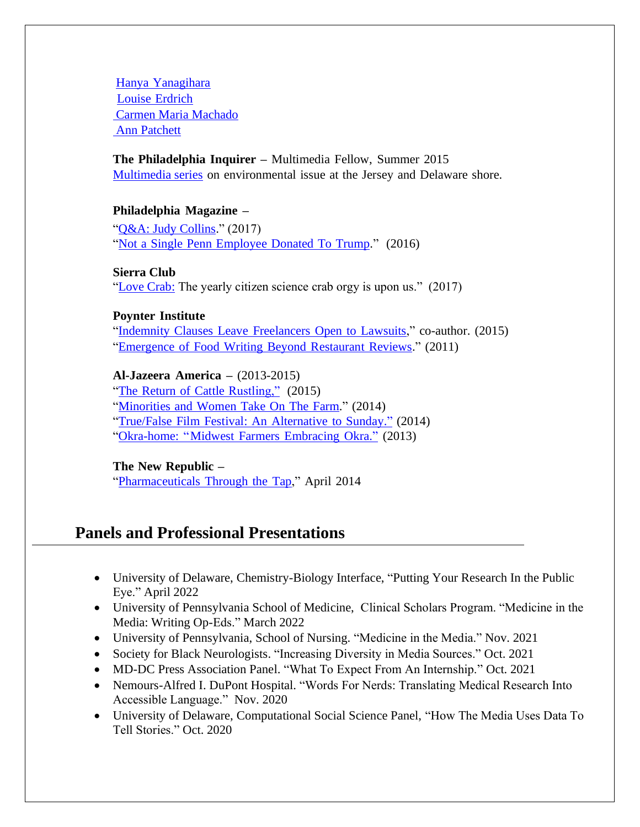Hanya [Yanagihara](https://www.inquirer.com/philly/entertainment/literature/20160329_Hanya_Yanagihara_brings_her_big_life_to_the_Free_Library.html) Louise [Erdrich](https://www.inquirer.com/philly/entertainment/20160510_Louise_Erdrich_brings__LaRose__to_the_Free_Library.html) [Carmen Maria Machado](https://www.inquirer.com/philly/entertainment/arts/carmen-maria-machado-her-body-ghosts-and-eggnog-20171207.html) [Ann Patchett](https://www.inquirer.com/philly/entertainment/20160929_Q_A_with_Ann_Patchett__A_sneaky_riptide_of_wild.html)

**The Philadelphia Inquirer –** Multimedia Fellow, Summer 2015 [Multimedia series](https://dawnfallik.com/tag/view-from-the-beach/) on environmental issue at the Jersey and Delaware shore.

### **Philadelphia Magazine –**

["Q&A: Judy Collins.](https://www.phillymag.com/things-to-do/2017/02/27/judy-collins-cravings-free-library/)" (2017) "Not a Single Penn [Employee](https://www.phillymag.com/news/2016/06/28/donald-trump-wharton-penn-donations/) Donated To Trump." (2016)

**Sierra Club**  ["Love Crab:](https://www.sierraclub.org/sierra/love-crab) The yearly citizen science crab orgy is upon us." (2017)

### **Poynter Institute**

"Indemnity Clauses Leave [Freelancers](https://www.poynter.org/reporting-editing/2015/indemnity-clauses-leave-freelancers-open-to-lawsuits/) Open to Lawsuits," co-author. (2015) ["Emergence](https://www.poynter.org/reporting-editing/2011/laban-you-cant-underestimate-how-the-change-in-technology-has-changed-food-writing/) of Food Writing Beyond Restaurant Reviews." (2011)

**Al-Jazeera America –** (2013-2015)

"The Return of Cattle [Rustling,"](http://america.aljazeera.com/articles/2015/4/14/they-steal-cattle-dont-they-cattle-rustling-returns.html) (2015) ["Minorities](http://america.aljazeera.com/articles/2014/7/12/new-farmers-femaleminority.html) and Women Take On The Farm." (2014) "True/False Film Festival: An [Alternative](http://america.aljazeera.com/articles/2014/2/28/true-false-film-festival.html) to Sunday." (2014) ["Okra-home:](http://america.aljazeera.com/articles/2013/12/23/okra-homa-as-temperaturesrisesoutherncropsmigratenorth.html) "Midwest Farmers Embracing Okra." (2013)

**The New Republic –**

["Pharmaceuticals](https://newrepublic.com/article/115883/drugs-drinking-water-new-epa-study-finds-more-we-knew) Through the Tap," April 2014

# **Panels and Professional Presentations**

- University of Delaware, Chemistry-Biology Interface, "Putting Your Research In the Public Eye." April 2022
- University of Pennsylvania School of Medicine, Clinical Scholars Program. "Medicine in the Media: Writing Op-Eds." March 2022
- University of Pennsylvania, School of Nursing. "Medicine in the Media." Nov. 2021
- Society for Black Neurologists. "Increasing Diversity in Media Sources." Oct. 2021
- MD-DC Press Association Panel. "What To Expect From An Internship." Oct. 2021
- Nemours-Alfred I. DuPont Hospital. "Words For Nerds: Translating Medical Research Into Accessible Language." Nov. 2020
- University of Delaware, Computational Social Science Panel, "How The Media Uses Data To Tell Stories." Oct. 2020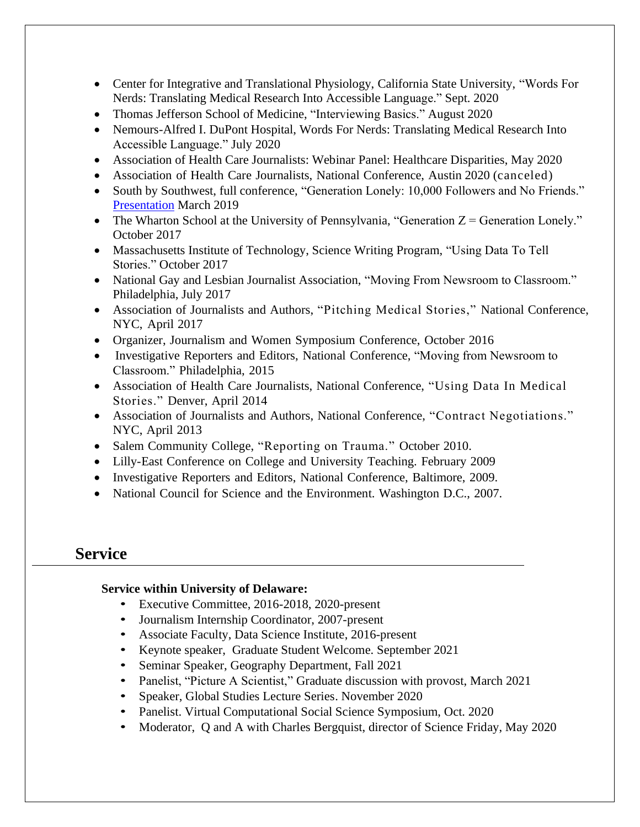- Center for Integrative and Translational Physiology, California State University, "Words For Nerds: Translating Medical Research Into Accessible Language." Sept. 2020
- Thomas Jefferson School of Medicine, "Interviewing Basics." August 2020
- Nemours-Alfred I. DuPont Hospital, Words For Nerds: Translating Medical Research Into Accessible Language." July 2020
- Association of Health Care Journalists: Webinar Panel: Healthcare Disparities, May 2020
- Association of Health Care Journalists, National Conference, Austin 2020 (canceled)
- South by Southwest, full conference, "Generation Lonely: 10,000 Followers and No Friends." [Presentation](https://schedule.sxsw.com/2019/events/PP103401) March 2019
- The Wharton School at the University of Pennsylvania, "Generation  $Z =$  Generation Lonely." October 2017
- Massachusetts Institute of Technology, Science Writing Program, "Using Data To Tell Stories." October 2017
- National Gay and Lesbian Journalist Association, "Moving From Newsroom to Classroom." Philadelphia, July 2017
- Association of Journalists and Authors, "Pitching Medical Stories," National Conference, NYC, April 2017
- Organizer, Journalism and Women Symposium Conference, October 2016
- Investigative Reporters and Editors, National Conference, "Moving from Newsroom to Classroom." Philadelphia, 2015
- Association of Health Care Journalists, National Conference, "Using Data In Medical Stories." Denver, April 2014
- Association of Journalists and Authors, National Conference, "Contract Negotiations." NYC, April 2013
- Salem Community College, "Reporting on Trauma." October 2010.
- Lilly-East Conference on College and University Teaching. February 2009
- Investigative Reporters and Editors, National Conference, Baltimore, 2009.
- National Council for Science and the Environment. Washington D.C., 2007.

## **Service**

### **Service within University of Delaware:**

- Executive Committee, 2016-2018, 2020-present
- Journalism Internship Coordinator, 2007-present
- Associate Faculty, Data Science Institute, 2016-present
- Keynote speaker, Graduate Student Welcome. September 2021
- Seminar Speaker, Geography Department, Fall 2021
- Panelist, "Picture A Scientist," Graduate discussion with provost, March 2021
- Speaker, Global Studies Lecture Series. November 2020
- Panelist. Virtual Computational Social Science Symposium, Oct. 2020
- Moderator, Q and A with Charles Bergquist, director of Science Friday, May 2020